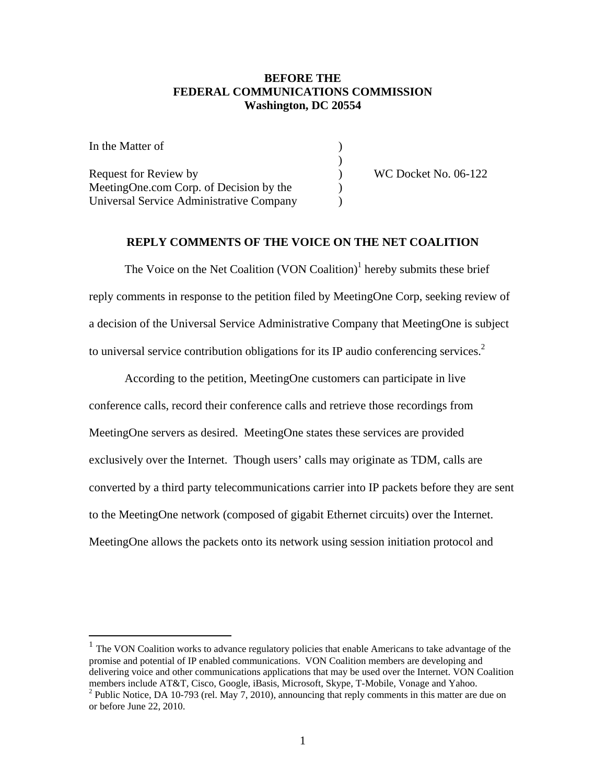## **BEFORE THE FEDERAL COMMUNICATIONS COMMISSION Washington, DC 20554**

In the Matter of  $\qquad \qquad$  )  $)$ Request for Review by  $WCDocket No. 06-122$ MeetingOne.com Corp. of Decision by the Universal Service Administrative Company )

## **REPLY COMMENTS OF THE VOICE ON THE NET COALITION**

The Voice on the Net Coalition  $(VON$  Coalition)<sup>1</sup> hereby submits these brief reply comments in response to the petition filed by MeetingOne Corp, seeking review of a decision of the Universal Service Administrative Company that MeetingOne is subject to universal service contribution obligations for its IP audio conferencing services.<sup>2</sup>

 According to the petition, MeetingOne customers can participate in live conference calls, record their conference calls and retrieve those recordings from MeetingOne servers as desired. MeetingOne states these services are provided exclusively over the Internet. Though users' calls may originate as TDM, calls are converted by a third party telecommunications carrier into IP packets before they are sent to the MeetingOne network (composed of gigabit Ethernet circuits) over the Internet. MeetingOne allows the packets onto its network using session initiation protocol and

1

<sup>&</sup>lt;sup>1</sup> The VON Coalition works to advance regulatory policies that enable Americans to take advantage of the promise and potential of IP enabled communications. VON Coalition members are developing and delivering voice and other communications applications that may be used over the Internet. VON Coalition members include AT&T, Cisco, Google, iBasis, Microsoft, Skype, T-Mobile, Vonage and Yahoo. <sup>2</sup> Public Notice, DA 10-793 (rel. May 7, 2010), announcing that reply comments in this matter are due on

or before June 22, 2010.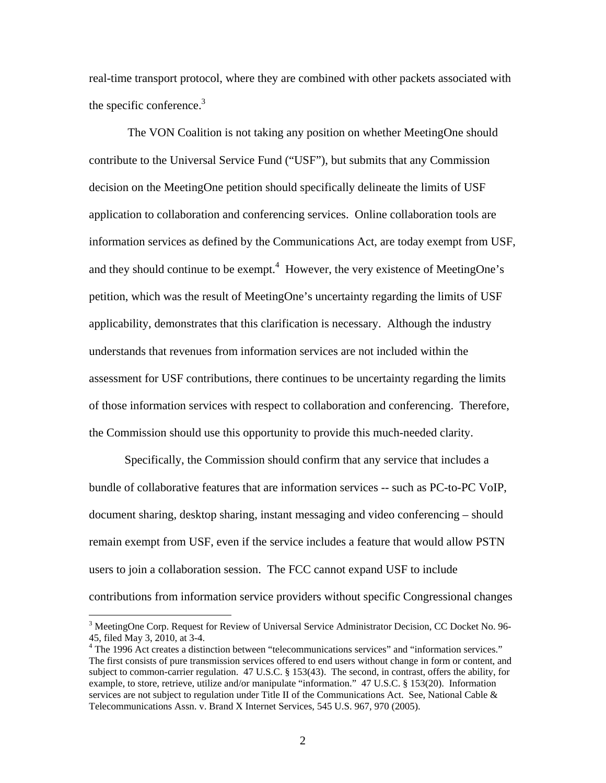real-time transport protocol, where they are combined with other packets associated with the specific conference. $3$ 

 The VON Coalition is not taking any position on whether MeetingOne should contribute to the Universal Service Fund ("USF"), but submits that any Commission decision on the MeetingOne petition should specifically delineate the limits of USF application to collaboration and conferencing services. Online collaboration tools are information services as defined by the Communications Act, are today exempt from USF, and they should continue to be exempt. $4$  However, the very existence of MeetingOne's petition, which was the result of MeetingOne's uncertainty regarding the limits of USF applicability, demonstrates that this clarification is necessary. Although the industry understands that revenues from information services are not included within the assessment for USF contributions, there continues to be uncertainty regarding the limits of those information services with respect to collaboration and conferencing. Therefore, the Commission should use this opportunity to provide this much-needed clarity.

 Specifically, the Commission should confirm that any service that includes a bundle of collaborative features that are information services -- such as PC-to-PC VoIP, document sharing, desktop sharing, instant messaging and video conferencing – should remain exempt from USF, even if the service includes a feature that would allow PSTN users to join a collaboration session. The FCC cannot expand USF to include contributions from information service providers without specific Congressional changes

 $\overline{a}$ 

<sup>&</sup>lt;sup>3</sup> MeetingOne Corp. Request for Review of Universal Service Administrator Decision, CC Docket No. 96-45, filed May 3, 2010, at 3-4.

<sup>&</sup>lt;sup>4</sup> The 1996 Act creates a distinction between "telecommunications services" and "information services." The first consists of pure transmission services offered to end users without change in form or content, and subject to common-carrier regulation. 47 U.S.C. § 153(43). The second, in contrast, offers the ability, for example, to store, retrieve, utilize and/or manipulate "information." 47 U.S.C. § 153(20). Information services are not subject to regulation under Title II of the Communications Act. See, National Cable & Telecommunications Assn. v. Brand X Internet Services, 545 U.S. 967, 970 (2005).